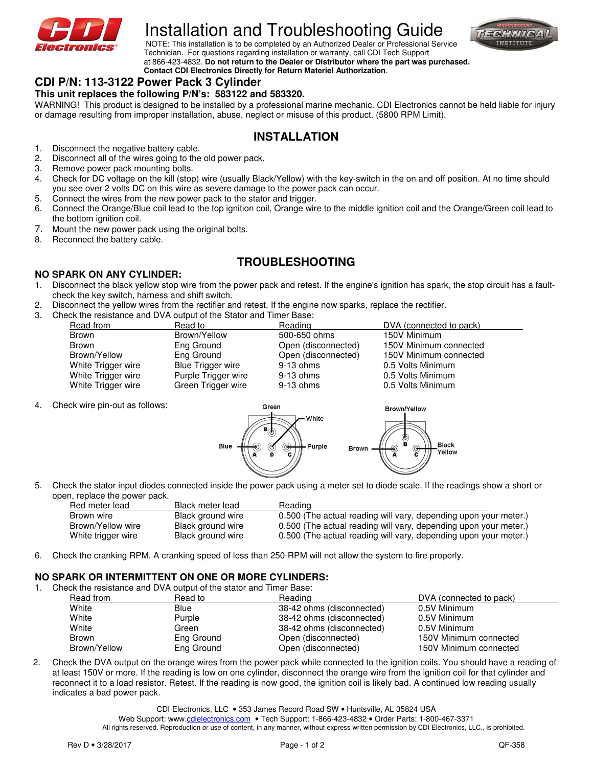

# Installation and Troubleshooting Guide



**NOTE:** This installation is to be completed by an Authorized Dealer or Professional Service Technician. For questions regarding installation or warranty, call CDI Tech Support at 866-423-4832. **Do not return to the Dealer or Distributor where the part was purchased. Contact CDI Electronics Directly for Return Materiel Authorization**.

## **CDI P/N: 113-3122 Power Pack 3 Cylinder**

### **This unit replaces the following P/N's: 583122 and 583320.**

WARNING! This product is designed to be installed by a professional marine mechanic. CDI Electronics cannot be held liable for injury or damage resulting from improper installation, abuse, neglect or misuse of this product. (5800 RPM Limit).

## **INSTALLATION**

- 1. Disconnect the negative battery cable.<br>2. Disconnect all of the wires going to the
- Disconnect all of the wires going to the old power pack.
- 3. Remove power pack mounting bolts.
- 4. Check for DC voltage on the kill (stop) wire (usually Black/Yellow) with the key-switch in the on and off position. At no time should you see over 2 volts DC on this wire as severe damage to the power pack can occur.
- 5. Connect the wires from the new power pack to the stator and trigger.
- 6. Connect the Orange/Blue coil lead to the top ignition coil, Orange wire to the middle ignition coil and the Orange/Green coil lead to the bottom ignition coil.
- 7. Mount the new power pack using the original bolts.
- 8. Reconnect the battery cable.

## **TROUBLESHOOTING**

#### **NO SPARK ON ANY CYLINDER:**

- 1. Disconnect the black yellow stop wire from the power pack and retest. If the engine's ignition has spark, the stop circuit has a faultcheck the key switch, harness and shift switch.
- 2. Disconnect the yellow wires from the rectifier and retest. If the engine now sparks, replace the rectifier.
- 3. Check the resistance and DVA output of the Stator and Timer Base:

| Read from          | Read to                  | Reading             | DVA (connected to pack) |
|--------------------|--------------------------|---------------------|-------------------------|
| Brown              | Brown/Yellow             | 500-650 ohms        | 150V Minimum            |
| Brown              | Eng Ground               | Open (disconnected) | 150V Minimum connected  |
| Brown/Yellow       | Eng Ground               | Open (disconnected) | 150V Minimum connected  |
| White Trigger wire | <b>Blue Trigger wire</b> | $9-13$ ohms         | 0.5 Volts Minimum       |
| White Trigger wire | Purple Trigger wire      | 9-13 ohms           | 0.5 Volts Minimum       |
| White Trigger wire | Green Trigger wire       | 9-13 ohms           | 0.5 Volts Minimum       |

4. Check wire pin-out as follows:



5. Check the stator input diodes connected inside the power pack using a meter set to diode scale. If the readings show a short or open, replace the power pack.

| Red meter lead     | Black meter lead  | Reading                                                          |
|--------------------|-------------------|------------------------------------------------------------------|
| Brown wire         | Black ground wire | 0.500 (The actual reading will vary, depending upon your meter.) |
| Brown/Yellow wire  | Black ground wire | 0.500 (The actual reading will vary, depending upon your meter.) |
| White trigger wire | Black ground wire | 0.500 (The actual reading will vary, depending upon your meter.) |

6. Check the cranking RPM. A cranking speed of less than 250-RPM will not allow the system to fire properly.

#### **NO SPARK OR INTERMITTENT ON ONE OR MORE CYLINDERS:**

1. Check the resistance and DVA output of the stator and Timer Base:

| Read from    | Read to     | Reading                   | DVA (connected to pack) |
|--------------|-------------|---------------------------|-------------------------|
| White        | <b>Blue</b> | 38-42 ohms (disconnected) | 0.5V Minimum            |
| White        | Purple      | 38-42 ohms (disconnected) | 0.5V Minimum            |
| White        | Green       | 38-42 ohms (disconnected) | 0.5V Minimum            |
| Brown        | Eng Ground  | Open (disconnected)       | 150V Minimum connected  |
| Brown/Yellow | Eng Ground  | Open (disconnected)       | 150V Minimum connected  |

2. Check the DVA output on the orange wires from the power pack while connected to the ignition coils. You should have a reading of at least 150V or more. If the reading is low on one cylinder, disconnect the orange wire from the ignition coil for that cylinder and reconnect it to a load resistor. Retest. If the reading is now good, the ignition coil is likely bad. A continued low reading usually indicates a bad power pack.

CDI Electronics, LLC • 353 James Record Road SW • Huntsville, AL 35824 USA

Web Support: www.cdielectronics.com • Tech Support: 1-866-423-4832 • Order Parts: 1-800-467-3371

All rights reserved. Reproduction or use of content, in any manner, without express written permission by CDI Electronics, LLC., is prohibited.